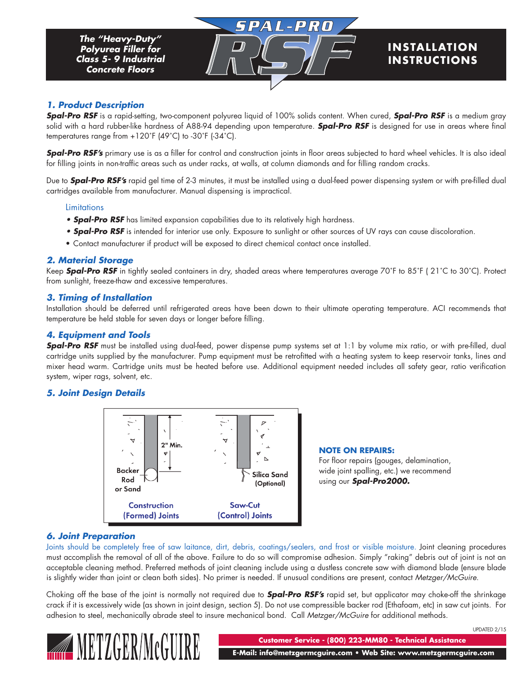# **INS TALLAT ION INSTRUCTIONS**

## *1. Product Description*

*Spal-Pro RSF* is a rapid-setting, two-component polyurea liquid of 100% solids content. When cured, *Spal-Pro RSF* is a medium gray solid with a hard rubber-like hardness of A88-94 depending upon temperature. *Spal-Pro RSF* is designed for use in areas where final temperatures range from +120˚F (49˚C) to -30˚F (-34˚C).

SPAL-PRO

*Spal-Pro RSF's* primary use is as a filler for control and construction joints in floor areas subjected to hard wheel vehicles. It is also ideal for filling joints in non-traffic areas such as under racks, at walls, at column diamonds and for filling random cracks.

Due to *Spal-Pro RSF's* rapid gel time of 2-3 minutes, it must be installed using a dual-feed power dispensing system or with pre-filled dual cartridges available from manufacturer. Manual dispensing is impractical.

#### Limitations

- **Spal-Pro RSF** has limited expansion capabilities due to its relatively high hardness.
- **Spal-Pro RSF** is intended for interior use only. Exposure to sunlight or other sources of UV rays can cause discoloration.
- • Contact manufacturer if product will be exposed to direct chemical contact once installed.

## *2. Material Storage*

Keep *Spal-Pro RSF* in tightly sealed containers in dry, shaded areas where temperatures average 70˚F to 85˚F ( 21˚C to 30˚C). Protect from sunlight, freeze-thaw and excessive temperatures.

#### *3. Timing of Installation*

Installation should be deferred until refrigerated areas have been down to their ultimate operating temperature. ACI recommends that temperature be held stable for seven days or longer before filling.

#### *4. Equipment and Tools*

**Spal-Pro RSF** must be installed using dual-feed, power dispense pump systems set at 1:1 by volume mix ratio, or with pre-filled, dual cartridge units supplied by the manufacturer. Pump equipment must be retrofitted with a heating system to keep reservoir tanks, lines and mixer head warm. Cartridge units must be heated before use. Additional equipment needed includes all safety gear, ratio verification system, wiper rags, solvent, etc.

## *5. Joint Design Details*



**NOTE ON REPAIRS:** For floor repairs (gouges, delamination,

wide joint spalling, etc.) we recommend using our *Spal-Pro2000.*

## *6. Joint Preparation*

Joints should be completely free of saw laitance, dirt, debris, coatings/sealers, and frost or visible moisture. Joint cleaning procedures must accomplish the removal of all of the above. Failure to do so will compromise adhesion. Simply "raking" debris out of joint is not an acceptable cleaning method. Preferred methods of joint cleaning include using a dustless concrete saw with diamond blade (ensure blade is slightly wider than joint or clean both sides). No primer is needed. If unusual conditions are present, contact *Metzger/McGuire*.

Choking off the base of the joint is normally not required due to *Spal-Pro RSF's* rapid set, but applicator may choke-off the shrinkage crack if it is excessively wide (as shown in joint design, section 5). Do not use compressible backer rod (Ethafoam, etc) in saw cut joints. For adhesion to steel, mechanically abrade steel to insure mechanical bond. Call *Metzger/McGuire* for additional methods.



**Customer Service - (800) 223-MM80 - Technical Assistance**

UPDATED 2/15

 **E-Mail: info@metzgermcguire.com • Web Site: www.metzgermcguire.com**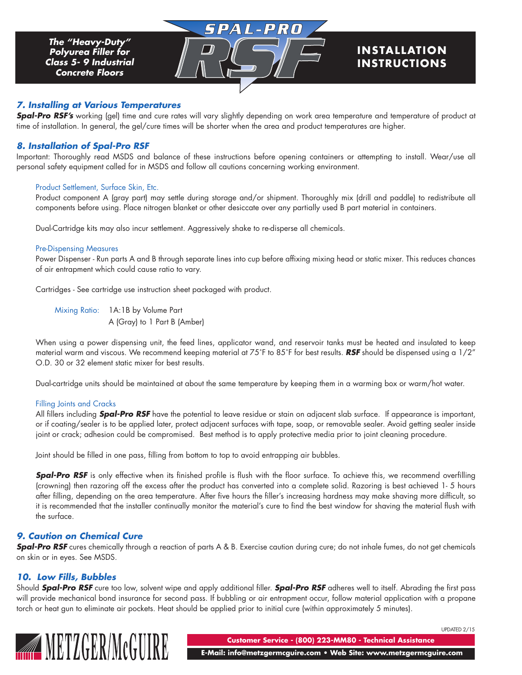# **INS TALLAT ION INSTRUCTIONS**

#### *7. Installing at Various Temperatures*

**Spal-Pro RSF's** working (gel) time and cure rates will vary slightly depending on work area temperature and temperature of product at time of installation. In general, the gel/cure times will be shorter when the area and product temperatures are higher.

SPAL-PRO

#### *8. Installation of Spal-Pro RSF*

Important: Thoroughly read MSDS and balance of these instructions before opening containers or attempting to install. Wear/use all personal safety equipment called for in MSDS and follow all cautions concerning working environment.

#### Product Settlement, Surface Skin, Etc.

Product component A (gray part) may settle during storage and/or shipment. Thoroughly mix (drill and paddle) to redistribute all components before using. Place nitrogen blanket or other desiccate over any partially used B part material in containers.

Dual-Cartridge kits may also incur settlement. Aggressively shake to re-disperse all chemicals.

#### Pre-Dispensing Measures

Power Dispenser - Run parts A and B through separate lines into cup before affixing mixing head or static mixer. This reduces chances of air entrapment which could cause ratio to vary.

Cartridges - See cartridge use instruction sheet packaged with product.

Mixing Ratio: 1A:1B by Volume Part A (Gray) to 1 Part B (Amber)

When using a power dispensing unit, the feed lines, applicator wand, and reservoir tanks must be heated and insulated to keep material warm and viscous. We recommend keeping material at 75˚F to 85˚F for best results. *RSF* should be dispensed using a 1/2" O.D. 30 or 32 element static mixer for best results.

Dual-cartridge units should be maintained at about the same temperature by keeping them in a warming box or warm/hot water.

#### Filling Joints and Cracks

All fillers including *Spal-Pro RSF* have the potential to leave residue or stain on adjacent slab surface. If appearance is important, or if coating/sealer is to be applied later, protect adjacent surfaces with tape, soap, or removable sealer. Avoid getting sealer inside joint or crack; adhesion could be compromised. Best method is to apply protective media prior to joint cleaning procedure.

Joint should be filled in one pass, filling from bottom to top to avoid entrapping air bubbles.

**Spal-Pro RSF** is only effective when its finished profile is flush with the floor surface. To achieve this, we recommend overfilling (crowning) then razoring off the excess after the product has converted into a complete solid. Razoring is best achieved 1- 5 hours after filling, depending on the area temperature. After five hours the filler's increasing hardness may make shaving more difficult, so it is recommended that the installer continually monitor the material's cure to find the best window for shaving the material flush with the surface.

## *9. Caution on Chemical Cure*

**Spal-Pro RSF** cures chemically through a reaction of parts A & B. Exercise caution during cure; do not inhale fumes, do not get chemicals on skin or in eyes. See MSDS.

## *10. Low Fills, Bubbles*

Should *Spal-Pro RSF* cure too low, solvent wipe and apply additional filler. *Spal-Pro RSF* adheres well to itself. Abrading the first pass will provide mechanical bond insurance for second pass. If bubbling or air entrapment occur, follow material application with a propane torch or heat gun to eliminate air pockets. Heat should be applied prior to initial cure (within approximately 5 minutes).



UPDATED 2/15

**Customer Service - (800) 223-MM80 - Technical Assistance**

 **E-Mail: info@metzgermcguire.com • Web Site: www.metzgermcguire.com**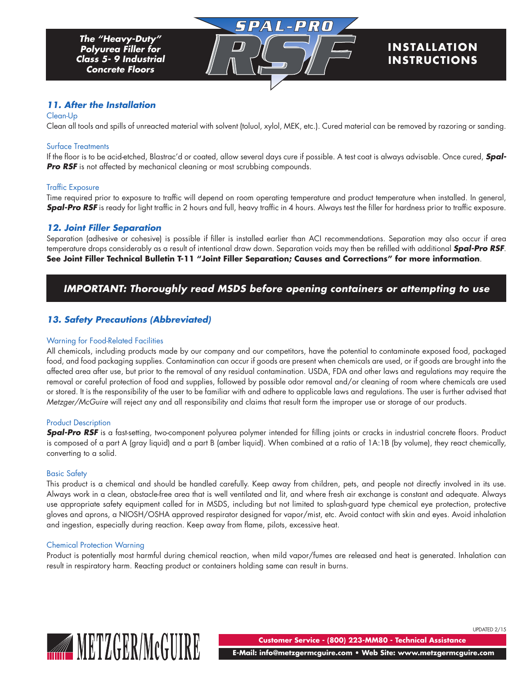# **INS TALLAT ION INSTRUCTIONS**

## *11. After the Installation*

#### Clean-Up

Clean all tools and spills of unreacted material with solvent (toluol, xylol, MEK, etc.). Cured material can be removed by razoring or sanding.

SPAL-PRO

#### Surface Treatments

If the floor is to be acid-etched, Blastrac'd or coated, allow several days cure if possible. A test coat is always advisable. Once cured, *Spal-***Pro RSF** is not affected by mechanical cleaning or most scrubbing compounds.

#### Traffic Exposure

Time required prior to exposure to traffic will depend on room operating temperature and product temperature when installed. In general, **Spal-Pro RSF** is ready for light traffic in 2 hours and full, heavy traffic in 4 hours. Always test the filler for hardness prior to traffic exposure.

#### *12. Joint Filler Separation*

Separation (adhesive or cohesive) is possible if filler is installed earlier than ACI recommendations. Separation may also occur if area temperature drops considerably as a result of intentional draw down. Separation voids may then be refilled with additional *Spal-Pro RSF*. **See Joint Filler Technical Bulletin T-11 "Joint Filler Separation; Causes and Corrections" for more information**.

## *IMPORTANT: Thoroughly read MSDS before opening containers or attempting to use*

## *13. Safety Precautions (Abbreviated)*

#### Warning for Food-Related Facilities

All chemicals, including products made by our company and our competitors, have the potential to contaminate exposed food, packaged food, and food packaging supplies. Contamination can occur if goods are present when chemicals are used, or if goods are brought into the affected area after use, but prior to the removal of any residual contamination. USDA, FDA and other laws and regulations may require the removal or careful protection of food and supplies, followed by possible odor removal and/or cleaning of room where chemicals are used or stored. It is the responsibility of the user to be familiar with and adhere to applicable laws and regulations. The user is further advised that *Metzger/McGuire* will reject any and all responsibility and claims that result form the improper use or storage of our products.

#### Product Description

**Spal-Pro RSF** is a fast-setting, two-component polyurea polymer intended for filling joints or cracks in industrial concrete floors. Product is composed of a part A (gray liquid) and a part B (amber liquid). When combined at a ratio of 1A:1B (by volume), they react chemically, converting to a solid.

#### Basic Safety

This product is a chemical and should be handled carefully. Keep away from children, pets, and people not directly involved in its use. Always work in a clean, obstacle-free area that is well ventilated and lit, and where fresh air exchange is constant and adequate. Always use appropriate safety equipment called for in MSDS, including but not limited to splash-guard type chemical eye protection, protective gloves and aprons, a NIOSH/OSHA approved respirator designed for vapor/mist, etc. Avoid contact with skin and eyes. Avoid inhalation and ingestion, especially during reaction. Keep away from flame, pilots, excessive heat.

#### Chemical Protection Warning

Product is potentially most harmful during chemical reaction, when mild vapor/fumes are released and heat is generated. Inhalation can result in respiratory harm. Reacting product or containers holding same can result in burns.



**Customer Service - (800) 223-MM80 - Technical Assistance**

UPDATED 2/15